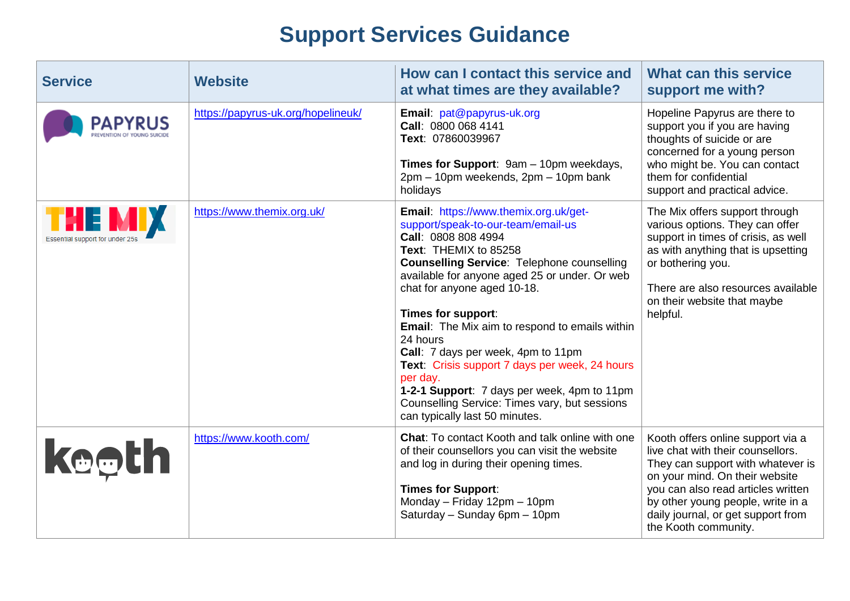## **Support Services Guidance**

| <b>Service</b>                                   | <b>Website</b>                     | How can I contact this service and<br>at what times are they available?                                                                                                                                                                                                                                                                                                                                                                                                                                                                                                                           | <b>What can this service</b><br>support me with?                                                                                                                                                                                                                                       |
|--------------------------------------------------|------------------------------------|---------------------------------------------------------------------------------------------------------------------------------------------------------------------------------------------------------------------------------------------------------------------------------------------------------------------------------------------------------------------------------------------------------------------------------------------------------------------------------------------------------------------------------------------------------------------------------------------------|----------------------------------------------------------------------------------------------------------------------------------------------------------------------------------------------------------------------------------------------------------------------------------------|
| <b>PAPYRUS</b>                                   | https://papyrus-uk.org/hopelineuk/ | Email: pat@papyrus-uk.org<br>Call: 0800 068 4141<br>Text: 07860039967<br>Times for Support: 9am - 10pm weekdays,<br>2pm - 10pm weekends, 2pm - 10pm bank<br>holidays                                                                                                                                                                                                                                                                                                                                                                                                                              | Hopeline Papyrus are there to<br>support you if you are having<br>thoughts of suicide or are<br>concerned for a young person<br>who might be. You can contact<br>them for confidential<br>support and practical advice.                                                                |
| <b>THE MIX</b><br>Essential support for under 25 | https://www.themix.org.uk/         | Email: https://www.themix.org.uk/get-<br>support/speak-to-our-team/email-us<br>Call: 0808 808 4994<br>Text: THEMIX to 85258<br><b>Counselling Service: Telephone counselling</b><br>available for anyone aged 25 or under. Or web<br>chat for anyone aged 10-18.<br>Times for support:<br><b>Email:</b> The Mix aim to respond to emails within<br>24 hours<br>Call: 7 days per week, 4pm to 11pm<br>Text: Crisis support 7 days per week, 24 hours<br>per day.<br>1-2-1 Support: 7 days per week, 4pm to 11pm<br>Counselling Service: Times vary, but sessions<br>can typically last 50 minutes. | The Mix offers support through<br>various options. They can offer<br>support in times of crisis, as well<br>as with anything that is upsetting<br>or bothering you.<br>There are also resources available<br>on their website that maybe<br>helpful.                                   |
| <b>keeth</b>                                     | https://www.kooth.com/             | <b>Chat:</b> To contact Kooth and talk online with one<br>of their counsellors you can visit the website<br>and log in during their opening times.<br><b>Times for Support:</b><br>Monday - Friday 12pm - 10pm<br>Saturday - Sunday 6pm - 10pm                                                                                                                                                                                                                                                                                                                                                    | Kooth offers online support via a<br>live chat with their counsellors.<br>They can support with whatever is<br>on your mind. On their website<br>you can also read articles written<br>by other young people, write in a<br>daily journal, or get support from<br>the Kooth community. |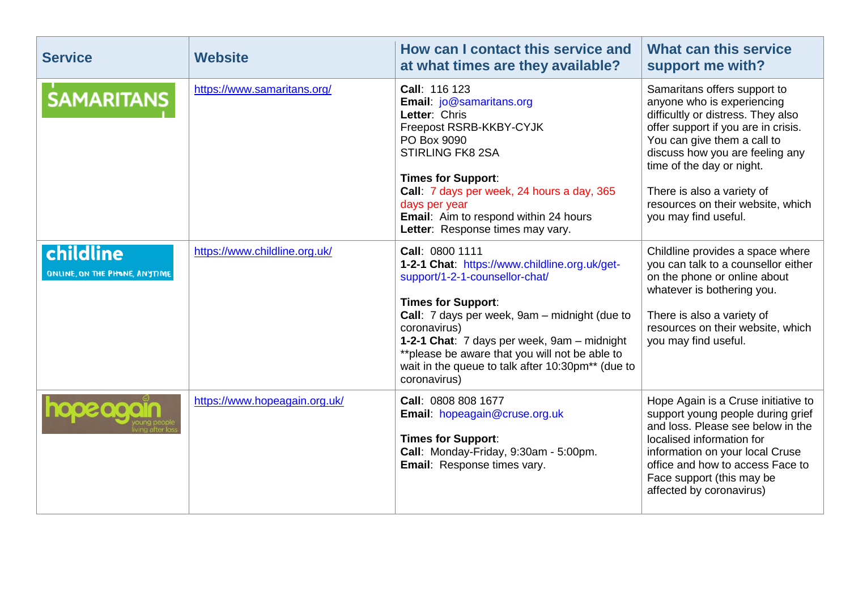| <b>Service</b>                             | <b>Website</b>                | How can I contact this service and<br>at what times are they available?                                                                                                                                                                                                                                                                                                 | What can this service<br>support me with?                                                                                                                                                                                                                                                                                         |
|--------------------------------------------|-------------------------------|-------------------------------------------------------------------------------------------------------------------------------------------------------------------------------------------------------------------------------------------------------------------------------------------------------------------------------------------------------------------------|-----------------------------------------------------------------------------------------------------------------------------------------------------------------------------------------------------------------------------------------------------------------------------------------------------------------------------------|
| <b>SAMARITANS</b>                          | https://www.samaritans.org/   | Call: 116 123<br>Email: jo@samaritans.org<br>Letter: Chris<br>Freepost RSRB-KKBY-CYJK<br>PO Box 9090<br><b>STIRLING FK8 2SA</b><br><b>Times for Support:</b><br>Call: 7 days per week, 24 hours a day, 365<br>days per year<br><b>Email:</b> Aim to respond within 24 hours<br>Letter: Response times may vary.                                                         | Samaritans offers support to<br>anyone who is experiencing<br>difficultly or distress. They also<br>offer support if you are in crisis.<br>You can give them a call to<br>discuss how you are feeling any<br>time of the day or night.<br>There is also a variety of<br>resources on their website, which<br>you may find useful. |
| childline<br>ONLINE, ON THE PHONE, ANYTIME | https://www.childline.org.uk/ | Call: 0800 1111<br>1-2-1 Chat: https://www.childline.org.uk/get-<br>support/1-2-1-counsellor-chat/<br><b>Times for Support:</b><br>Call: 7 days per week, 9am - midnight (due to<br>coronavirus)<br>1-2-1 Chat: 7 days per week, 9am - midnight<br>** please be aware that you will not be able to<br>wait in the queue to talk after 10:30pm** (due to<br>coronavirus) | Childline provides a space where<br>you can talk to a counsellor either<br>on the phone or online about<br>whatever is bothering you.<br>There is also a variety of<br>resources on their website, which<br>you may find useful.                                                                                                  |
| 002000                                     | https://www.hopeagain.org.uk/ | Call: 0808 808 1677<br>Email: hopeagain@cruse.org.uk<br><b>Times for Support:</b><br>Call: Monday-Friday, 9:30am - 5:00pm.<br>Email: Response times vary.                                                                                                                                                                                                               | Hope Again is a Cruse initiative to<br>support young people during grief<br>and loss. Please see below in the<br>localised information for<br>information on your local Cruse<br>office and how to access Face to<br>Face support (this may be<br>affected by coronavirus)                                                        |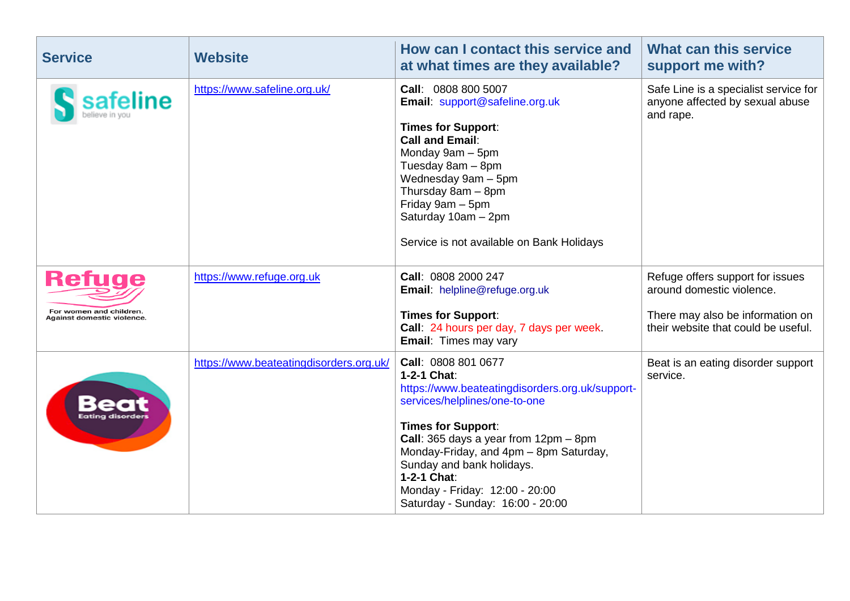| <b>Service</b>                           | <b>Website</b>                          | How can I contact this service and<br>at what times are they available?                                                                                                                                                                                                                                                                                                           | What can this service<br>support me with?                                             |
|------------------------------------------|-----------------------------------------|-----------------------------------------------------------------------------------------------------------------------------------------------------------------------------------------------------------------------------------------------------------------------------------------------------------------------------------------------------------------------------------|---------------------------------------------------------------------------------------|
| safeline                                 | https://www.safeline.org.uk/            | Call: 0808 800 5007<br>Email: support@safeline.org.uk<br><b>Times for Support:</b><br><b>Call and Email:</b><br>Monday 9am - 5pm<br>Tuesday 8am - 8pm<br>Wednesday 9am - 5pm<br>Thursday 8am - 8pm<br>Friday 9am - 5pm<br>Saturday 10am - 2pm<br>Service is not available on Bank Holidays                                                                                        | Safe Line is a specialist service for<br>anyone affected by sexual abuse<br>and rape. |
| <b>Refuge</b><br>For women and children. | https://www.refuge.org.uk               | Call: 0808 2000 247<br>Email: helpline@refuge.org.uk                                                                                                                                                                                                                                                                                                                              | Refuge offers support for issues<br>around domestic violence.                         |
| Against domestic violence.               |                                         | <b>Times for Support:</b><br>Call: 24 hours per day, 7 days per week.<br><b>Email: Times may vary</b>                                                                                                                                                                                                                                                                             | There may also be information on<br>their website that could be useful.               |
|                                          | https://www.beateatingdisorders.org.uk/ | Call: 0808 801 0677<br>1-2-1 Chat:<br>https://www.beateatingdisorders.org.uk/support-<br>services/helplines/one-to-one<br><b>Times for Support:</b><br><b>Call:</b> 365 days a year from $12 \text{pm} - 8 \text{pm}$<br>Monday-Friday, and 4pm - 8pm Saturday,<br>Sunday and bank holidays.<br>1-2-1 Chat:<br>Monday - Friday: 12:00 - 20:00<br>Saturday - Sunday: 16:00 - 20:00 | Beat is an eating disorder support<br>service.                                        |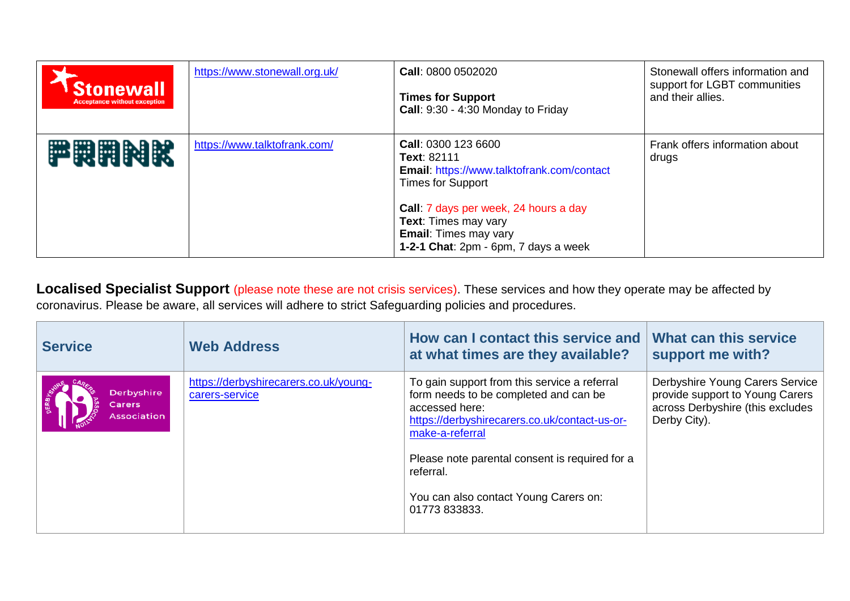| <b>Stonewall</b><br><b>Acceptance without exception</b> | https://www.stonewall.org.uk/ | <b>Call: 0800 0502020</b><br><b>Times for Support</b><br>Call: 9:30 - 4:30 Monday to Friday                                                                                                                                                                         | Stonewall offers information and<br>support for LGBT communities<br>and their allies. |
|---------------------------------------------------------|-------------------------------|---------------------------------------------------------------------------------------------------------------------------------------------------------------------------------------------------------------------------------------------------------------------|---------------------------------------------------------------------------------------|
| <b>静岡開閉駅</b>                                            | https://www.talktofrank.com/  | <b>Call: 0300 123 6600</b><br>Text: 82111<br>Email: https://www.talktofrank.com/contact<br><b>Times for Support</b><br>Call: 7 days per week, 24 hours a day<br><b>Text:</b> Times may vary<br><b>Email:</b> Times may vary<br>1-2-1 Chat: 2pm - 6pm, 7 days a week | Frank offers information about<br>drugs                                               |

**Localised Specialist Support** (please note these are not crisis services). These services and how they operate may be affected by coronavirus. Please be aware, all services will adhere to strict Safeguarding policies and procedures.

| <b>Service</b>                             | <b>Web Address</b>                                      | How can I contact this service and<br>at what times are they available?                                                                                                                                                                                                                              | What can this service<br>support me with?                                                                              |
|--------------------------------------------|---------------------------------------------------------|------------------------------------------------------------------------------------------------------------------------------------------------------------------------------------------------------------------------------------------------------------------------------------------------------|------------------------------------------------------------------------------------------------------------------------|
| Derbyshire<br><b>Carers</b><br>Association | https://derbyshirecarers.co.uk/young-<br>carers-service | To gain support from this service a referral<br>form needs to be completed and can be<br>accessed here:<br>https://derbyshirecarers.co.uk/contact-us-or-<br>make-a-referral<br>Please note parental consent is required for a<br>referral.<br>You can also contact Young Carers on:<br>01773 833833. | Derbyshire Young Carers Service<br>provide support to Young Carers<br>across Derbyshire (this excludes<br>Derby City). |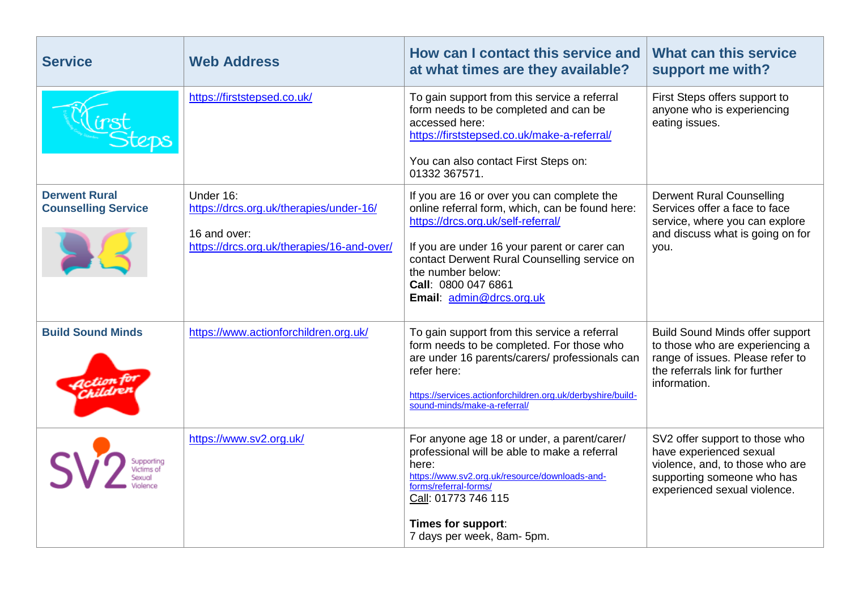| <b>Service</b>                                     | <b>Web Address</b>                                                                                                 | How can I contact this service and<br>at what times are they available?                                                                                                                                                                                                                                     | What can this service<br>support me with?                                                                                                                       |
|----------------------------------------------------|--------------------------------------------------------------------------------------------------------------------|-------------------------------------------------------------------------------------------------------------------------------------------------------------------------------------------------------------------------------------------------------------------------------------------------------------|-----------------------------------------------------------------------------------------------------------------------------------------------------------------|
|                                                    | https://firststepsed.co.uk/                                                                                        | To gain support from this service a referral<br>form needs to be completed and can be<br>accessed here:<br>https://firststepsed.co.uk/make-a-referral/<br>You can also contact First Steps on:<br>01332 367571.                                                                                             | First Steps offers support to<br>anyone who is experiencing<br>eating issues.                                                                                   |
| <b>Derwent Rural</b><br><b>Counselling Service</b> | Under 16:<br>https://drcs.org.uk/therapies/under-16/<br>16 and over:<br>https://drcs.org.uk/therapies/16-and-over/ | If you are 16 or over you can complete the<br>online referral form, which, can be found here:<br>https://drcs.org.uk/self-referral/<br>If you are under 16 your parent or carer can<br>contact Derwent Rural Counselling service on<br>the number below:<br>Call: 0800 047 6861<br>Email: admin@drcs.org.uk | <b>Derwent Rural Counselling</b><br>Services offer a face to face<br>service, where you can explore<br>and discuss what is going on for<br>you.                 |
| <b>Build Sound Minds</b>                           | https://www.actionforchildren.org.uk/                                                                              | To gain support from this service a referral<br>form needs to be completed. For those who<br>are under 16 parents/carers/ professionals can<br>refer here:<br>https://services.actionforchildren.org.uk/derbyshire/build-<br>sound-minds/make-a-referral/                                                   | <b>Build Sound Minds offer support</b><br>to those who are experiencing a<br>range of issues. Please refer to<br>the referrals link for further<br>information. |
| upporting                                          | https://www.sv2.org.uk/                                                                                            | For anyone age 18 or under, a parent/carer/<br>professional will be able to make a referral<br>here:<br>https://www.sv2.org.uk/resource/downloads-and-<br>forms/referral-forms/<br>Call: 01773 746 115<br>Times for support:<br>7 days per week, 8am- 5pm.                                                  | SV2 offer support to those who<br>have experienced sexual<br>violence, and, to those who are<br>supporting someone who has<br>experienced sexual violence.      |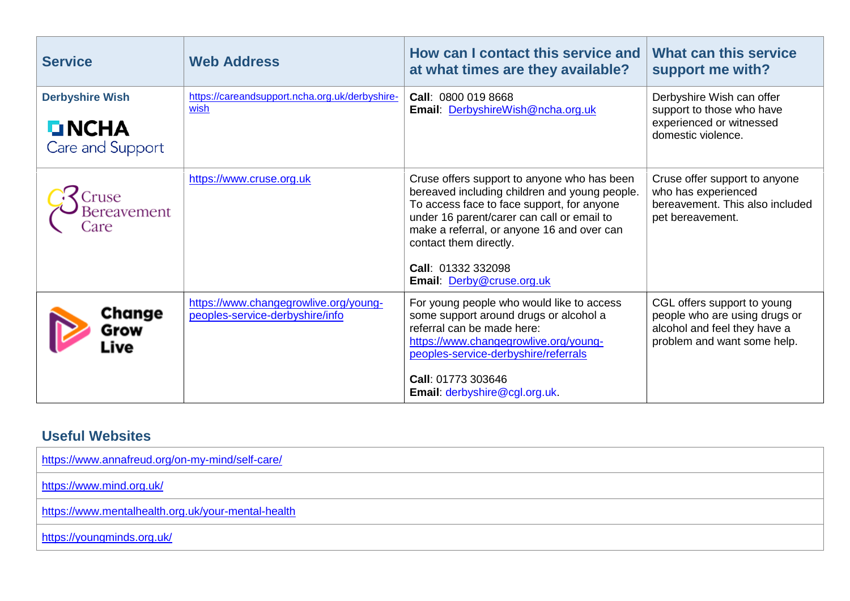| <b>Service</b>                                              | <b>Web Address</b>                                                       | How can I contact this service and<br>at what times are they available?                                                                                                                                                                                                                                             | <b>What can this service</b><br>support me with?                                                                            |
|-------------------------------------------------------------|--------------------------------------------------------------------------|---------------------------------------------------------------------------------------------------------------------------------------------------------------------------------------------------------------------------------------------------------------------------------------------------------------------|-----------------------------------------------------------------------------------------------------------------------------|
| <b>Derbyshire Wish</b><br><b>LINCHA</b><br>Care and Support | https://careandsupport.ncha.org.uk/derbyshire-<br>wish                   | Call: 0800 019 8668<br>Email: DerbyshireWish@ncha.org.uk                                                                                                                                                                                                                                                            | Derbyshire Wish can offer<br>support to those who have<br>experienced or witnessed<br>domestic violence.                    |
| ruse)<br><b>Bereavement</b><br>`are                         | https://www.cruse.org.uk                                                 | Cruse offers support to anyone who has been<br>bereaved including children and young people.<br>To access face to face support, for anyone<br>under 16 parent/carer can call or email to<br>make a referral, or anyone 16 and over can<br>contact them directly.<br>Call: 01332 332098<br>Email: Derby@cruse.org.uk | Cruse offer support to anyone<br>who has experienced<br>bereavement. This also included<br>pet bereavement.                 |
| Change<br>Grow<br>Live                                      | https://www.changegrowlive.org/young-<br>peoples-service-derbyshire/info | For young people who would like to access<br>some support around drugs or alcohol a<br>referral can be made here:<br>https://www.changegrowlive.org/young-<br>peoples-service-derbyshire/referrals<br>Call: 01773 303646<br>Email: derbyshire@cgl.org.uk.                                                           | CGL offers support to young<br>people who are using drugs or<br>alcohol and feel they have a<br>problem and want some help. |

## **Useful Websites**

| https://www.annafreud.org/on-my-mind/self-care/    |  |
|----------------------------------------------------|--|
| https://www.mind.org.uk/                           |  |
| https://www.mentalhealth.org.uk/your-mental-health |  |
| https://youngminds.org.uk/                         |  |